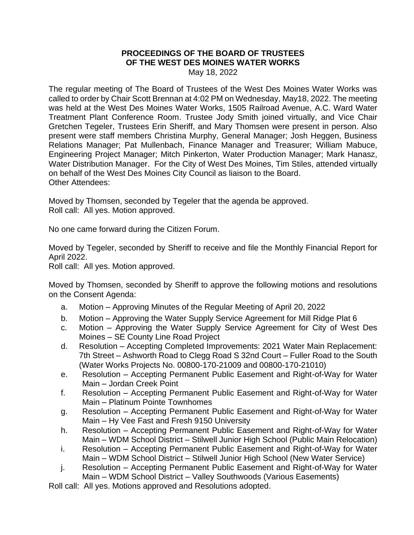## **PROCEEDINGS OF THE BOARD OF TRUSTEES OF THE WEST DES MOINES WATER WORKS**

May 18, 2022

The regular meeting of The Board of Trustees of the West Des Moines Water Works was called to order by Chair Scott Brennan at 4:02 PM on Wednesday, May18, 2022. The meeting was held at the West Des Moines Water Works, 1505 Railroad Avenue, A.C. Ward Water Treatment Plant Conference Room. Trustee Jody Smith joined virtually, and Vice Chair Gretchen Tegeler, Trustees Erin Sheriff, and Mary Thomsen were present in person. Also present were staff members Christina Murphy, General Manager; Josh Heggen, Business Relations Manager; Pat Mullenbach, Finance Manager and Treasurer; William Mabuce, Engineering Project Manager; Mitch Pinkerton, Water Production Manager; Mark Hanasz, Water Distribution Manager. For the City of West Des Moines, Tim Stiles, attended virtually on behalf of the West Des Moines City Council as liaison to the Board. Other Attendees:

Moved by Thomsen, seconded by Tegeler that the agenda be approved. Roll call: All yes. Motion approved.

No one came forward during the Citizen Forum.

Moved by Tegeler, seconded by Sheriff to receive and file the Monthly Financial Report for April 2022.

Roll call: All yes. Motion approved.

Moved by Thomsen, seconded by Sheriff to approve the following motions and resolutions on the Consent Agenda:

- a. Motion Approving Minutes of the Regular Meeting of April 20, 2022
- b. Motion Approving the Water Supply Service Agreement for Mill Ridge Plat 6
- c. Motion Approving the Water Supply Service Agreement for City of West Des Moines – SE County Line Road Project
- d. Resolution Accepting Completed Improvements: 2021 Water Main Replacement: 7th Street – Ashworth Road to Clegg Road S 32nd Court – Fuller Road to the South (Water Works Projects No. 00800-170-21009 and 00800-170-21010)
- e. Resolution Accepting Permanent Public Easement and Right-of-Way for Water Main – Jordan Creek Point
- f. Resolution Accepting Permanent Public Easement and Right-of-Way for Water Main – Platinum Pointe Townhomes
- g. Resolution Accepting Permanent Public Easement and Right-of-Way for Water Main – Hy Vee Fast and Fresh 9150 University
- h. Resolution Accepting Permanent Public Easement and Right-of-Way for Water Main – WDM School District – Stilwell Junior High School (Public Main Relocation)
- i. Resolution Accepting Permanent Public Easement and Right-of-Way for Water Main – WDM School District – Stilwell Junior High School (New Water Service)
- j. Resolution Accepting Permanent Public Easement and Right-of-Way for Water Main – WDM School District – Valley Southwoods (Various Easements)

Roll call: All yes. Motions approved and Resolutions adopted.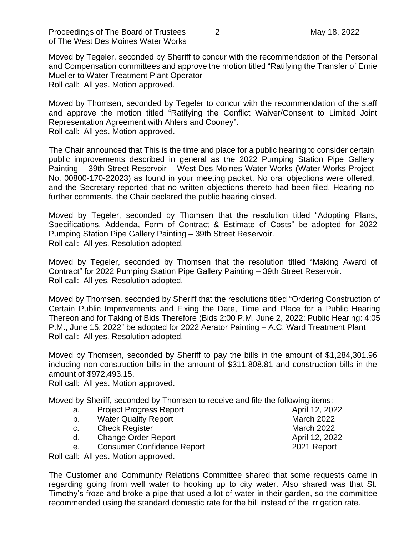Proceedings of The Board of Trustees 2 2 May 18, 2022 of The West Des Moines Water Works

Moved by Tegeler, seconded by Sheriff to concur with the recommendation of the Personal and Compensation committees and approve the motion titled "Ratifying the Transfer of Ernie Mueller to Water Treatment Plant Operator Roll call: All yes. Motion approved.

Moved by Thomsen, seconded by Tegeler to concur with the recommendation of the staff and approve the motion titled "Ratifying the Conflict Waiver/Consent to Limited Joint Representation Agreement with Ahlers and Cooney". Roll call: All yes. Motion approved.

The Chair announced that This is the time and place for a public hearing to consider certain public improvements described in general as the 2022 Pumping Station Pipe Gallery Painting – 39th Street Reservoir – West Des Moines Water Works (Water Works Project No. 00800-170-22023) as found in your meeting packet. No oral objections were offered, and the Secretary reported that no written objections thereto had been filed. Hearing no further comments, the Chair declared the public hearing closed.

Moved by Tegeler, seconded by Thomsen that the resolution titled "Adopting Plans, Specifications, Addenda, Form of Contract & Estimate of Costs" be adopted for 2022 Pumping Station Pipe Gallery Painting – 39th Street Reservoir. Roll call: All yes. Resolution adopted.

Moved by Tegeler, seconded by Thomsen that the resolution titled "Making Award of Contract" for 2022 Pumping Station Pipe Gallery Painting – 39th Street Reservoir. Roll call: All yes. Resolution adopted.

Moved by Thomsen, seconded by Sheriff that the resolutions titled "Ordering Construction of Certain Public Improvements and Fixing the Date, Time and Place for a Public Hearing Thereon and for Taking of Bids Therefore (Bids 2:00 P.M. June 2, 2022; Public Hearing: 4:05 P.M., June 15, 2022" be adopted for 2022 Aerator Painting – A.C. Ward Treatment Plant Roll call: All yes. Resolution adopted.

Moved by Thomsen, seconded by Sheriff to pay the bills in the amount of \$1,284,301.96 including non-construction bills in the amount of \$311,808.81 and construction bills in the amount of \$972,493.15.

Roll call: All yes. Motion approved.

Moved by Sheriff, seconded by Thomsen to receive and file the following items:

a. Project Progress Report **April 12, 2022** b. Water Quality Report **March 2022** c. Check Register March 2022 d. Change Order Report **April 12, 2022** e. Consumer Confidence Report 2021 Report

Roll call: All yes. Motion approved.

The Customer and Community Relations Committee shared that some requests came in regarding going from well water to hooking up to city water. Also shared was that St. Timothy's froze and broke a pipe that used a lot of water in their garden, so the committee recommended using the standard domestic rate for the bill instead of the irrigation rate.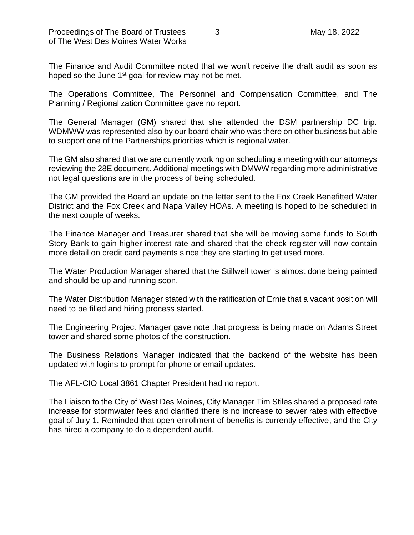The Finance and Audit Committee noted that we won't receive the draft audit as soon as hoped so the June  $1<sup>st</sup>$  goal for review may not be met.

The Operations Committee, The Personnel and Compensation Committee, and The Planning / Regionalization Committee gave no report.

The General Manager (GM) shared that she attended the DSM partnership DC trip. WDMWW was represented also by our board chair who was there on other business but able to support one of the Partnerships priorities which is regional water.

The GM also shared that we are currently working on scheduling a meeting with our attorneys reviewing the 28E document. Additional meetings with DMWW regarding more administrative not legal questions are in the process of being scheduled.

The GM provided the Board an update on the letter sent to the Fox Creek Benefitted Water District and the Fox Creek and Napa Valley HOAs. A meeting is hoped to be scheduled in the next couple of weeks.

The Finance Manager and Treasurer shared that she will be moving some funds to South Story Bank to gain higher interest rate and shared that the check register will now contain more detail on credit card payments since they are starting to get used more.

The Water Production Manager shared that the Stillwell tower is almost done being painted and should be up and running soon.

The Water Distribution Manager stated with the ratification of Ernie that a vacant position will need to be filled and hiring process started.

The Engineering Project Manager gave note that progress is being made on Adams Street tower and shared some photos of the construction.

The Business Relations Manager indicated that the backend of the website has been updated with logins to prompt for phone or email updates.

The AFL-CIO Local 3861 Chapter President had no report.

The Liaison to the City of West Des Moines, City Manager Tim Stiles shared a proposed rate increase for stormwater fees and clarified there is no increase to sewer rates with effective goal of July 1. Reminded that open enrollment of benefits is currently effective, and the City has hired a company to do a dependent audit.